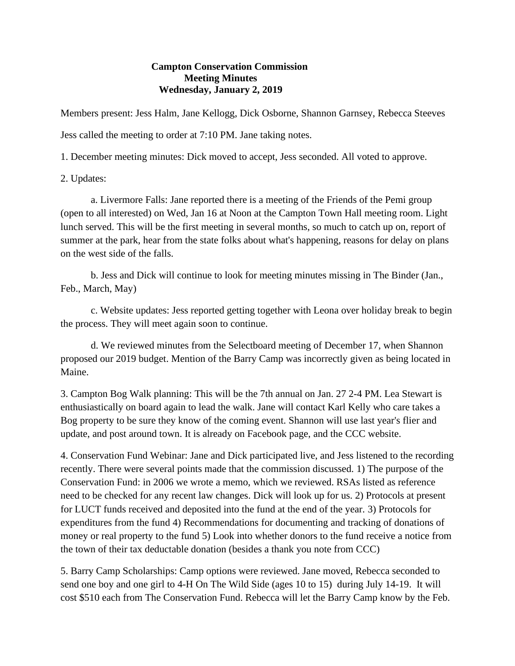## **Campton Conservation Commission Meeting Minutes Wednesday, January 2, 2019**

Members present: Jess Halm, Jane Kellogg, Dick Osborne, Shannon Garnsey, Rebecca Steeves

Jess called the meeting to order at 7:10 PM. Jane taking notes.

1. December meeting minutes: Dick moved to accept, Jess seconded. All voted to approve.

2. Updates:

a. Livermore Falls: Jane reported there is a meeting of the Friends of the Pemi group (open to all interested) on Wed, Jan 16 at Noon at the Campton Town Hall meeting room. Light lunch served. This will be the first meeting in several months, so much to catch up on, report of summer at the park, hear from the state folks about what's happening, reasons for delay on plans on the west side of the falls.

b. Jess and Dick will continue to look for meeting minutes missing in The Binder (Jan., Feb., March, May)

c. Website updates: Jess reported getting together with Leona over holiday break to begin the process. They will meet again soon to continue.

d. We reviewed minutes from the Selectboard meeting of December 17, when Shannon proposed our 2019 budget. Mention of the Barry Camp was incorrectly given as being located in Maine.

3. Campton Bog Walk planning: This will be the 7th annual on Jan. 27 2-4 PM. Lea Stewart is enthusiastically on board again to lead the walk. Jane will contact Karl Kelly who care takes a Bog property to be sure they know of the coming event. Shannon will use last year's flier and update, and post around town. It is already on Facebook page, and the CCC website.

4. Conservation Fund Webinar: Jane and Dick participated live, and Jess listened to the recording recently. There were several points made that the commission discussed. 1) The purpose of the Conservation Fund: in 2006 we wrote a memo, which we reviewed. RSAs listed as reference need to be checked for any recent law changes. Dick will look up for us. 2) Protocols at present for LUCT funds received and deposited into the fund at the end of the year. 3) Protocols for expenditures from the fund 4) Recommendations for documenting and tracking of donations of money or real property to the fund 5) Look into whether donors to the fund receive a notice from the town of their tax deductable donation (besides a thank you note from CCC)

5. Barry Camp Scholarships: Camp options were reviewed. Jane moved, Rebecca seconded to send one boy and one girl to 4-H On The Wild Side (ages 10 to 15) during July 14-19. It will cost \$510 each from The Conservation Fund. Rebecca will let the Barry Camp know by the Feb.